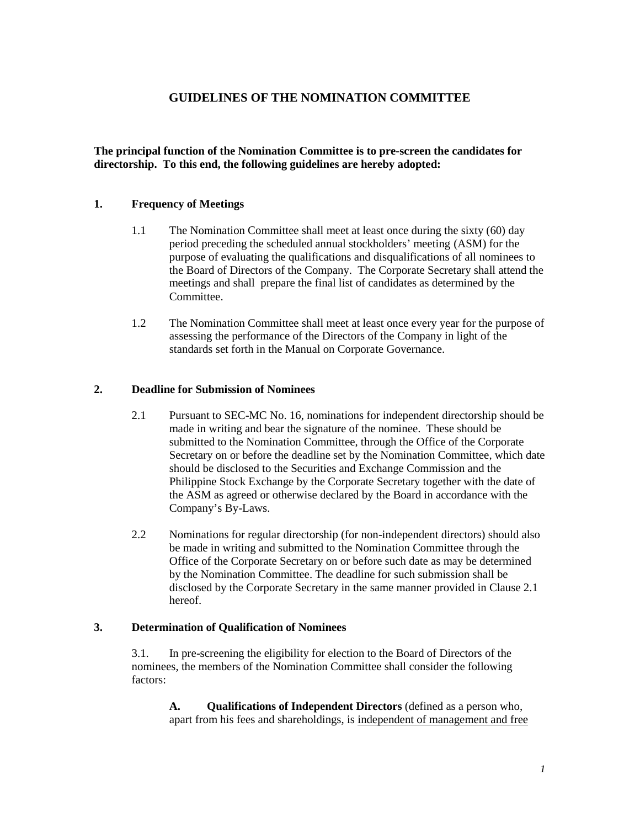# **GUIDELINES OF THE NOMINATION COMMITTEE**

**The principal function of the Nomination Committee is to pre-screen the candidates for directorship. To this end, the following guidelines are hereby adopted:**

## **1. Frequency of Meetings**

- 1.1 The Nomination Committee shall meet at least once during the sixty (60) day period preceding the scheduled annual stockholders' meeting (ASM) for the purpose of evaluating the qualifications and disqualifications of all nominees to the Board of Directors of the Company. The Corporate Secretary shall attend the meetings and shall prepare the final list of candidates as determined by the Committee.
- 1.2 The Nomination Committee shall meet at least once every year for the purpose of assessing the performance of the Directors of the Company in light of the standards set forth in the Manual on Corporate Governance.

### **2. Deadline for Submission of Nominees**

- 2.1 Pursuant to SEC-MC No. 16, nominations for independent directorship should be made in writing and bear the signature of the nominee. These should be submitted to the Nomination Committee, through the Office of the Corporate Secretary on or before the deadline set by the Nomination Committee, which date should be disclosed to the Securities and Exchange Commission and the Philippine Stock Exchange by the Corporate Secretary together with the date of the ASM as agreed or otherwise declared by the Board in accordance with the Company's By-Laws.
- 2.2 Nominations for regular directorship (for non-independent directors) should also be made in writing and submitted to the Nomination Committee through the Office of the Corporate Secretary on or before such date as may be determined by the Nomination Committee. The deadline for such submission shall be disclosed by the Corporate Secretary in the same manner provided in Clause 2.1 hereof.

### **3. Determination of Qualification of Nominees**

3.1. In pre-screening the eligibility for election to the Board of Directors of the nominees, the members of the Nomination Committee shall consider the following factors:

**A. Qualifications of Independent Directors** (defined as a person who, apart from his fees and shareholdings, is independent of management and free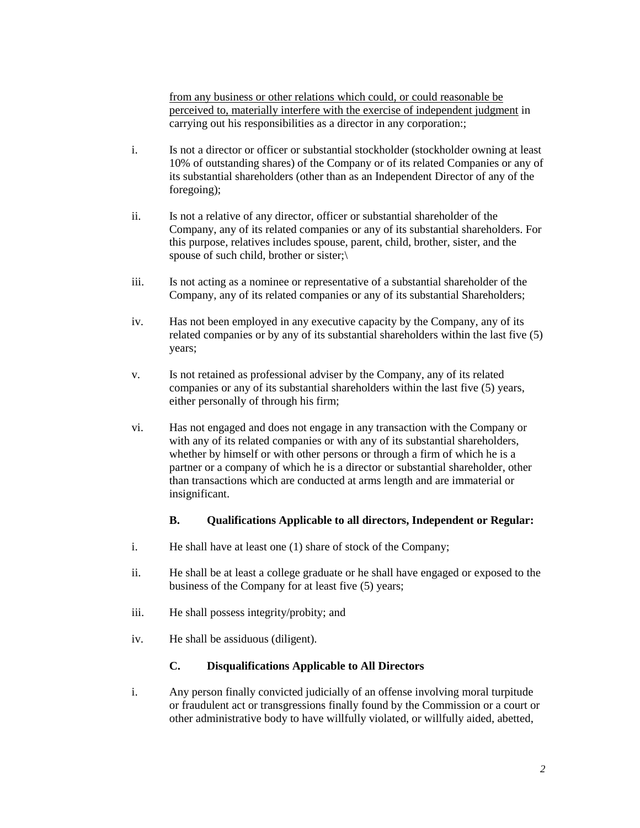from any business or other relations which could, or could reasonable be perceived to, materially interfere with the exercise of independent judgment in carrying out his responsibilities as a director in any corporation:;

- i. Is not a director or officer or substantial stockholder (stockholder owning at least 10% of outstanding shares) of the Company or of its related Companies or any of its substantial shareholders (other than as an Independent Director of any of the foregoing);
- ii. Is not a relative of any director, officer or substantial shareholder of the Company, any of its related companies or any of its substantial shareholders. For this purpose, relatives includes spouse, parent, child, brother, sister, and the spouse of such child, brother or sister;\
- iii. Is not acting as a nominee or representative of a substantial shareholder of the Company, any of its related companies or any of its substantial Shareholders;
- iv. Has not been employed in any executive capacity by the Company, any of its related companies or by any of its substantial shareholders within the last five (5) years;
- v. Is not retained as professional adviser by the Company, any of its related companies or any of its substantial shareholders within the last five (5) years, either personally of through his firm;
- vi. Has not engaged and does not engage in any transaction with the Company or with any of its related companies or with any of its substantial shareholders, whether by himself or with other persons or through a firm of which he is a partner or a company of which he is a director or substantial shareholder, other than transactions which are conducted at arms length and are immaterial or insignificant.

## **B. Qualifications Applicable to all directors, Independent or Regular:**

- i. He shall have at least one (1) share of stock of the Company;
- ii. He shall be at least a college graduate or he shall have engaged or exposed to the business of the Company for at least five (5) years;
- iii. He shall possess integrity/probity; and
- iv. He shall be assiduous (diligent).

#### **C. Disqualifications Applicable to All Directors**

i. Any person finally convicted judicially of an offense involving moral turpitude or fraudulent act or transgressions finally found by the Commission or a court or other administrative body to have willfully violated, or willfully aided, abetted,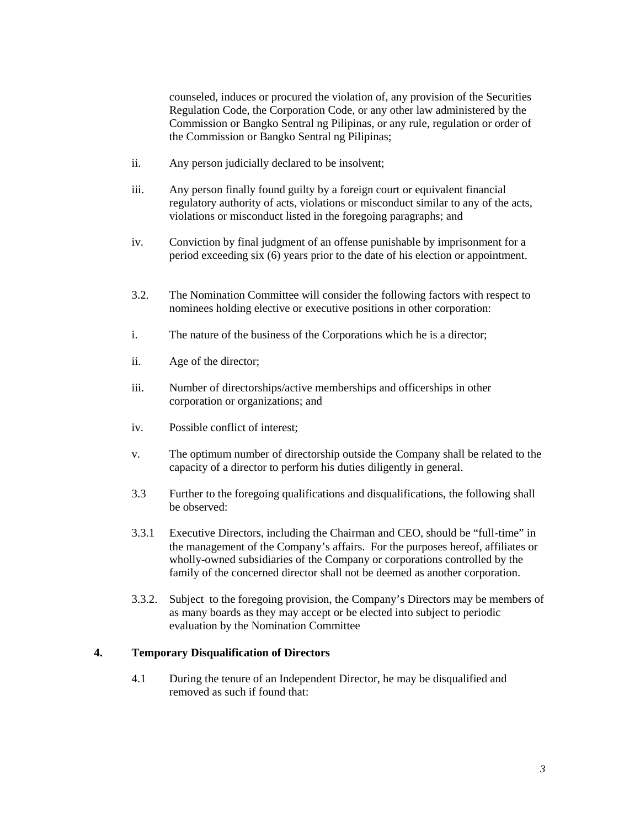counseled, induces or procured the violation of, any provision of the Securities Regulation Code, the Corporation Code, or any other law administered by the Commission or Bangko Sentral ng Pilipinas, or any rule, regulation or order of the Commission or Bangko Sentral ng Pilipinas;

- ii. Any person judicially declared to be insolvent;
- iii. Any person finally found guilty by a foreign court or equivalent financial regulatory authority of acts, violations or misconduct similar to any of the acts, violations or misconduct listed in the foregoing paragraphs; and
- iv. Conviction by final judgment of an offense punishable by imprisonment for a period exceeding six (6) years prior to the date of his election or appointment.
- 3.2. The Nomination Committee will consider the following factors with respect to nominees holding elective or executive positions in other corporation:
- i. The nature of the business of the Corporations which he is a director;
- ii. Age of the director;
- iii. Number of directorships/active memberships and officerships in other corporation or organizations; and
- iv. Possible conflict of interest;
- v. The optimum number of directorship outside the Company shall be related to the capacity of a director to perform his duties diligently in general.
- 3.3 Further to the foregoing qualifications and disqualifications, the following shall be observed:
- 3.3.1 Executive Directors, including the Chairman and CEO, should be "full-time" in the management of the Company's affairs. For the purposes hereof, affiliates or wholly-owned subsidiaries of the Company or corporations controlled by the family of the concerned director shall not be deemed as another corporation.
- 3.3.2. Subject to the foregoing provision, the Company's Directors may be members of as many boards as they may accept or be elected into subject to periodic evaluation by the Nomination Committee

## **4. Temporary Disqualification of Directors**

4.1 During the tenure of an Independent Director, he may be disqualified and removed as such if found that: